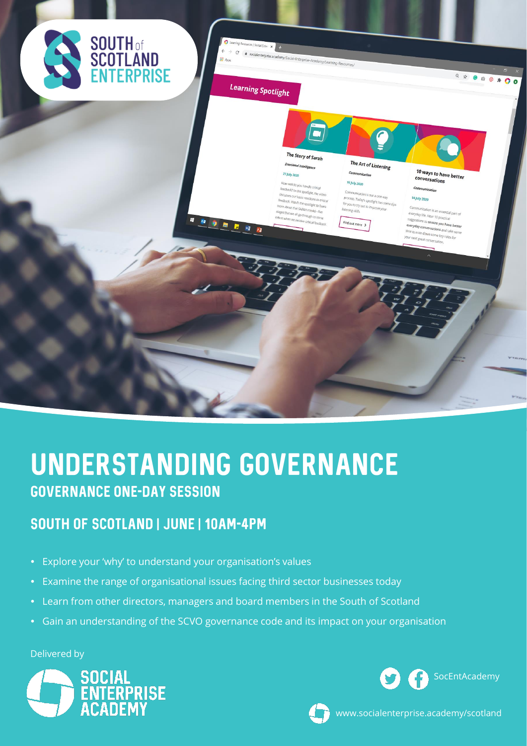

# Understanding Governance Governance one-day session

### South of Scotland | June | 10am-4pm

- Explore your 'why' to understand your organisation's values
- Examine the range of organisational issues facing third sector businesses today
- Learn from other directors, managers and board members in the South of Scotland
- Gain an understanding of the SCVO governance code and its impact on your organisation

Delivered by







www.socialenterprise.academy/scotland